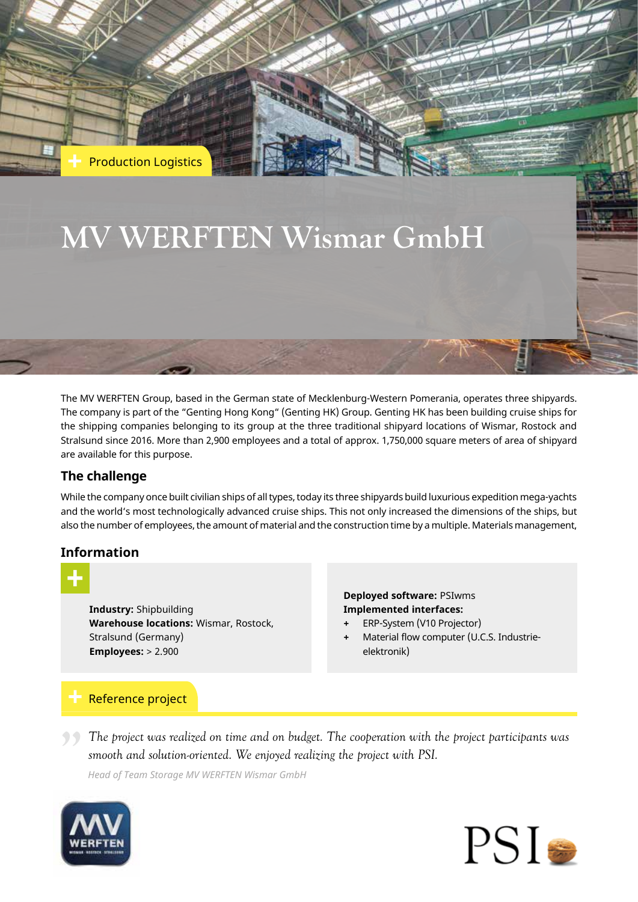

The MV WERFTEN Group, based in the German state of Mecklenburg-Western Pomerania, operates three shipyards. The company is part of the "Genting Hong Kong" (Genting HK) Group. Genting HK has been building cruise ships for the shipping companies belonging to its group at the three traditional shipyard locations of Wismar, Rostock and Stralsund since 2016. More than 2,900 employees and a total of approx. 1,750,000 square meters of area of shipyard are available for this purpose.

# **The challenge**

While the company once built civilian ships of all types, today its three shipyards build luxurious expedition mega-yachts and the world's most technologically advanced cruise ships. This not only increased the dimensions of the ships, but also the number of employees, the amount of material and the construction time by a multiple. Materials management,

## **Information**

**Industry:** Shipbuilding **Warehouse locations:** Wismar, Rostock, Stralsund (Germany) **Employees:** > 2.900

**Deployed software:** PSIwms **Implemented interfaces:** 

- **+** ERP-System (V10 Projector)
- **+** Material flow computer (U.C.S. Industrieelektronik)

# Reference project

*smooth and solution-oriented. We enjoyed realizing the project with PSI.*

*Head of Team Storage MV WERFTEN Wismar GmbH*